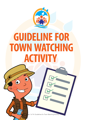

# **GUIDELINE FOR TOWN WATCHING ACTIVITY**

ge 1 of 14: Guidelines for Town Watching Activity

This cover has been designed using resources from Freepik.com.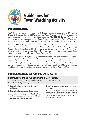

## **Guidelines for Town Watching Activity**

## INTRODUCTION

FLOOD Ranger Programme is a community-based programme developed in 2014 by the Global Environment Centre (GEC) and Malaysia Water Partnership (MyWP) that empowers the stakeholders in preparing for flood disasters. The FLOOD Ranger Programme emphasised on six components; i.e. SMART Partnership, Module, Training/Workshop, Tools and Materials (guideline and form), PREPARE Training and Post Training Activities.

The flood PREPARE approach was customised to suite the bottom-up and civic science approach specifically on community-based flood resilience through the following steps: (1) Preparedness; (2) Action; and (3) Recovery. Under the step number 2 of Action, a Town Watching activity will be executed through the development of Community-based Flood Hazard Map and Community-based Flood Response Plan.

Town Watching is an activity that engages the communities in integrated flood management. It was originally used in town planning; however, it can also be used in prevention of disaster impact such as flooding. It is used to identify areas prone to danger and routes that are safe for travel during the flooding within the community residential area. The Town Watching activity focuses on two main outputs (Community-based Flood Hazard Map and Response Plan) that will be combined into one simple map known as Town Watching Map.

## INTRODUCTION OF CBFHM AND CBFRP

#### COMMUNITY-BASED FLOOD HAZARD MAP (CBFHM)

emphasises on how local community can develop their own map using:

- local knowledge and experience; and the current condition
- 1. Compile all potential hazards/risks found within the area.
- 2. Compile all the proposed safe routes.
- 3. Discuss the advantages and disadvantages of the proposed safe routes and finalise the best (safest and fastest).
- 
- 4. Once finalised, transfer all the information into map.

This map helps the communities to better understand their disaster risks, allowing them to take actions to reduce the risks and be aware of the safe spaces and evacuation routes that will be used during flooding.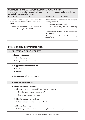#### COMMUNITY-BASED FLOOD RESPONSE PLAN (CBFRP)

is a list of actions to take in preparing the safe route during flooding and emphasise on things to be done prior involving:

- individual; community; agencies; and others
- 1. Discuss on the mitigation measures for every potential hazards/risk found within CBFHM.
- 2. Compile all identified Local Community Flood Gathering Centre (LCFGC).
- 
- 3. Discuss the advantages and disadvantages of the proposed:
	- mitigation measures; and
	- Local Community Flood Gathering Centre.
- 4. Once finalised, transfer all theinformation into a map.

The map should be their main reference during flood disaster.

## FOUR MAIN COMPONENTS

#### 1. SELECTION OF PROJECT SITE

#### A.Based on the need

- Flood prone areas
- Frequently affected community

#### B. Suggestion/Recommendation

- • Local authorities
- • Agencies
- C. Project needs/funder/supporter

#### 2. EARLY PREPARATION

#### A.Identifying area of concern

- i. Identify targeted location of Town Watching activity
	- Flood disaster prone area (priority)
	- Interested community group
- ii. Identify community members
	- Local leaders/champions e.g.: Residents Association

iii. Identify stakeholder

• Local government, relevant agencies, NGOs, associations, etc.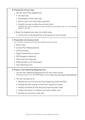#### B. Preparation of area map

- i. Get the map of the targeted area
	- A3 sized map
	- Topography or/and street map
	- Ensure map is very clear (high resolution)
	- Simplify the map as reference and work sheet Highlight the streets, buildings and other facilities as well features like river and drainage system in the map

#### ii. Break the targeted area map into smaller areas

• Community can be divided into a few groups to cover all areas

#### C. Preparation of necessary tools

Set a checklist of all tools and materials needed during the activity.

- Sticky notes
- Colored Pen/ Markers/pencils
- Colored stickers
- • Digital Camera/Phone camera
- GPS Navigators (optional)
- Clip board and notebooks
- Mahjong Paper or A1 sized paper
- Town Watching Form

#### D. Prepare Town Watching Mapping Form

- i. Use the Town Watching Mapping Form for the onsite activity. Download and print from the RIVER Ranger website (http://www.riverranger.my/FloodRanger)
- ii. The main focuses are to:
	- Identify the Local Community Flood Gathering Centre (LCFGC);
	- Propose the safe route(s) to LCFG from respective houses;
	- Identify all hazards & risks along the proposed safe routes;
	- Collect information on related community profiles; and
	- • Identify any resources in that area.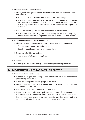| <b>E. Identification of Resource Person</b>                                                                                                                                                                                                         |
|-----------------------------------------------------------------------------------------------------------------------------------------------------------------------------------------------------------------------------------------------------|
| i. Identify the trainer, group leader(s), facilitator(s) and resource personnel (internal<br>and external).                                                                                                                                         |
| • Appoint those who are familiar with the area (local knowledge).                                                                                                                                                                                   |
| Having a resource person that knows the area or experienced in disaster<br>$\bullet$<br>management and community preparedness is an added advantage; agencies,<br>NGOs, experience community champions or subject-matter experts (if<br>available). |
| ii. Plan the details and specific task/role of each community member.                                                                                                                                                                               |
| • Divide the tasks accordingly especially during the on-site activity; e.g.,<br>observer (specific task), photographer, note-taker, community inter-viewer.                                                                                         |
| F. Determine the meeting/discussion facility                                                                                                                                                                                                        |
| i. Identify the area/building suitable for group discussion and presentation                                                                                                                                                                        |
| • To ensure the location is accessible to all                                                                                                                                                                                                       |
| • Usually located in the middle of the targeted area                                                                                                                                                                                                |
| ii. Ensure basic facilities are available                                                                                                                                                                                                           |
| • Tables, chairs, toilet, power supply etc.                                                                                                                                                                                                         |
| <b>G.</b> Insurance                                                                                                                                                                                                                                 |
| Coverage for the event (training) - covers all the participating members.                                                                                                                                                                           |

#### 3. IMPLEMENTATION OF TOWN WATCHING ACTIVITY

#### A.Preliminary Review of the Area:

- Introduce the targeted area using printed map or PowerPoint and videos to the participating communities.
- Divide the participants into few groups as per needs.
- Manage the time (appoint a time keeper); ensures all aspect of the quidelines and checklist are covered.
- Provide each group with their own area/base map.
- Ensure participants make notes and take photographs of the aspects found within the area: disadvantageous (hazards/risks) and advantageous (resources).
- Interview other local residents to obtain specific local information and past experiences, identify the people that requires special assistance.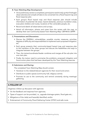| <b>B. Town Watching Map Development:</b>                                                                                                                                                                                                |
|-----------------------------------------------------------------------------------------------------------------------------------------------------------------------------------------------------------------------------------------|
| • Once preliminary review is completed, participants need to tidy up their finding(s)/<br>observation(s) and compile all data to be converted into a flood hazard map and<br>flood response plan.                                       |
| • Each group's flood hazard map and flood response plan should include<br>information of potential risk areas, hazard obstacles, previous inundation areas,<br>evacuation shelters and routes, locations of the vulnerable people, etc. |
| • Record and sketch all observations and surveys.                                                                                                                                                                                       |
| • Attach all information, photos and notes from the review with the map, to<br>develop their own Community-based Town Watching Map: CBFHM & CBFRP.                                                                                      |
| <b>C. Presentations and Discussions:</b>                                                                                                                                                                                                |
| • Discuss the OVERALL vulnerabilities, possible counter measures, priorities,<br>degrees of difficulty and responsibilities to implement each proposed mitigation,<br>etc.                                                              |
| • Each group presents their community-based hazard map and response plan<br>to the members of the other groups and discuss the feasibilities and ways to<br>integrate between the groups.                                               |
| • Then, the trainer/coordinator/leader combines and merges all the sub-plan into<br>one main plan.                                                                                                                                      |
| • Finally, the trainer need to summarise the problems, proposed mitigation and<br>future action plans that had been developed by this Town Watching exercise.                                                                           |
| D. Submission and Sharing:                                                                                                                                                                                                              |
| The completed Town Watching Map should contain:                                                                                                                                                                                         |
| • Handover to the related/relevant agencies for their record and action.                                                                                                                                                                |
| Distribute to public spaces (community hall, religious centre).                                                                                                                                                                         |
| Promote its use to the community and remind constantly during meetings/<br>gathering.                                                                                                                                                   |
| <b>4. FOLLOW UP</b>                                                                                                                                                                                                                     |
| Organise a follow-up discussion with agencies:                                                                                                                                                                                          |
| On the feedback and response from agencies;                                                                                                                                                                                             |
| Types of support can be provided, i.e., upgrade drainage system, flood gate etc.;                                                                                                                                                       |
| Mitigations of the risk(s) and hazard(s) identified; and/or                                                                                                                                                                             |
| Endorsement of Community Flood Gathering Center (CFGC) and safe route.<br>$\bullet$                                                                                                                                                     |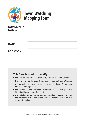

# **Town Watching Mapping Form**

| <b>COMMUNITY</b><br><b>NAME:</b> |  |
|----------------------------------|--|
| <b>DATE:</b>                     |  |
| <b>LOCATION:</b>                 |  |

## This form is used to identify:

- the safe area as a Local Community Flood Gathering Centre;
- the safe route to the Local Community Flood Gathering Centre;
- the hazards and risks along safe routes to the Local Community Flood Gathering Centre;
- the methods and propose improvements to mitigate the identified hazards and risks; and
- the stakeholder (esp. agencies) responsibilities to take action on the proposed mitigation of the hazards identified including the cost and timeline.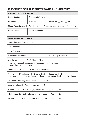## CHECKLIST FOR THE TOWN WATCHING ACTIVITY

| <b>BASELINE INFORMATION</b>                                                                                                                                                          |                                          |  |                                           |
|--------------------------------------------------------------------------------------------------------------------------------------------------------------------------------------|------------------------------------------|--|-------------------------------------------|
| Group Number:                                                                                                                                                                        | Group Leader's Name:                     |  |                                           |
| Start time:                                                                                                                                                                          | End Time:<br>Base Map: $\Box$ Yes<br>∩No |  |                                           |
| Digital/Phone Camera: □ Yes                                                                                                                                                          | $\Box$ No                                |  | Photo reference Number: $\Box$ Yes<br>∩No |
| Photo Number:                                                                                                                                                                        | Issues/Description:                      |  |                                           |
| <b>SITE/COMMUNITY AREA</b>                                                                                                                                                           |                                          |  |                                           |
| Name of the Area/Community site:                                                                                                                                                     |                                          |  |                                           |
| <b>GPS Coordinate:</b>                                                                                                                                                               |                                          |  |                                           |
| Local Government:                                                                                                                                                                    |                                          |  |                                           |
| No. of People /Families:<br>Type of area/residential:                                                                                                                                |                                          |  |                                           |
| Was the area flooded before? $\Box$ Yes<br>$\Box$ No<br>If yes, how frequently does the area floods every year on average:<br>more than 3 times<br>once                              |                                          |  |                                           |
| When was the last time the area flooded? (year/date)                                                                                                                                 |                                          |  |                                           |
| Flood type: $\Box$ River floods<br>$\Box$ Regional floods<br>$\Box$ Localised floods<br>$\Box$ Flash floods<br>$\Box$ Urban floods<br>Rural and agriculture floods<br>Coastal floods |                                          |  |                                           |
| feet/cm<br>Maximum level during recent floods:                                                                                                                                       |                                          |  |                                           |
| Local rainfall data: $\Box$ Yes;<br>mm/year<br>No                                                                                                                                    |                                          |  |                                           |
| Presence of floods early warning system in the area:<br>No<br>Yes                                                                                                                    |                                          |  |                                           |
| Alert of areas likely to be affected by future floods:<br>No<br>Yes                                                                                                                  |                                          |  |                                           |
| Availability of public information board for flooding:<br>No<br>Yes                                                                                                                  |                                          |  |                                           |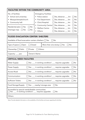| <b>FACILITIES WITHIN THE COMMUNITY AREA</b>                                                                                                                          |                      |                                                                                                                  |                                                                                                                                                                                                                  |                                  |
|----------------------------------------------------------------------------------------------------------------------------------------------------------------------|----------------------|------------------------------------------------------------------------------------------------------------------|------------------------------------------------------------------------------------------------------------------------------------------------------------------------------------------------------------------|----------------------------------|
| No. of facilities:<br>• School and university:<br>Mosque/temple/church:<br>• Community hall:<br>Residential plan: $\Box$ Yes<br>No<br>No<br>Drainage map: $\Box$ Yes | $\bullet$<br>Others: | <b>Emergency Facilities:</b><br>• Police station:<br>• Fire Department:<br>Clinic/Hospital:<br>• Welfare Centre: | $\Box$ Yes, distance: ___ km<br>$\Box$ Yes; distance $\Box$ km<br>$\Box$ Yes; distance $\Box$ km<br>• Community Centre: Yes; distance ___ km<br>$\Box$ Yes; distance $\Box$ km<br>$\Box$ Yes; distance $\Box$ km | No<br>No<br>No<br>No<br>No<br>No |
| <b>FLOOD EVACUATION CENTER/ SHELTERS</b>                                                                                                                             |                      |                                                                                                                  |                                                                                                                                                                                                                  |                                  |
| Available of flood evacuation centers /shelters: $\Box$ Yes                                                                                                          |                      |                                                                                                                  | No                                                                                                                                                                                                               |                                  |
| Type of space: $\Box$ Open<br>$\Box$ Closed                                                                                                                          |                      |                                                                                                                  | More than one storey: $\Box$ Yes<br>No                                                                                                                                                                           |                                  |
| Ownership: $\Box$ Public<br>Private<br>Others:<br>$\perp$                                                                                                            |                      |                                                                                                                  |                                                                                                                                                                                                                  |                                  |
| Capacity: ___ pax                                                                                                                                                    | <b>Owner's Name:</b> |                                                                                                                  |                                                                                                                                                                                                                  |                                  |
| <b>CRITICAL NEED FACILITIES</b>                                                                                                                                      |                      |                                                                                                                  |                                                                                                                                                                                                                  |                                  |
| <b>Water Supply:</b>                                                                                                                                                 |                      |                                                                                                                  | $\Box$ Yes: $\Box$ in working condition/ $\Box$ requires upgrades                                                                                                                                                | $\neg$ No                        |
| Power Supply:                                                                                                                                                        |                      |                                                                                                                  | □ Yes: ___ in working condition/ ___ requires upgrades                                                                                                                                                           | No                               |
| Access Road:                                                                                                                                                         |                      |                                                                                                                  | $\Box$ Yes: ___ in working condition/ ___ requires upgrades                                                                                                                                                      | $\Box$ No                        |
| Communication:                                                                                                                                                       |                      |                                                                                                                  | Yes: ___ in working condition/ ___ requires upgrades                                                                                                                                                             | No                               |
| <b>Sufficient Toilets:</b>                                                                                                                                           |                      |                                                                                                                  | Yes: ___ in working condition/ ___ requires upgrades                                                                                                                                                             | No                               |
| Food Storage/Supply: □ Yes: ___nearby/ storage area                                                                                                                  |                      |                                                                                                                  | No                                                                                                                                                                                                               |                                  |
| Accessible by special needs/disable communities:<br>$\Box$ Yes: ___ in working condition/ ___ requires upgrades<br>No                                                |                      |                                                                                                                  |                                                                                                                                                                                                                  |                                  |
| Others:                                                                                                                                                              |                      |                                                                                                                  |                                                                                                                                                                                                                  |                                  |

*Note: Provide detailed information on the availability of the facilities and issues regarding the facilities.*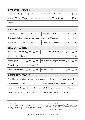| <b>EVACUATION ROUTES</b>                                                                      |                                                         |  |  |  |  |
|-----------------------------------------------------------------------------------------------|---------------------------------------------------------|--|--|--|--|
| Available routes: $\Box$ Yes<br>No                                                            | Alternative routes during a flood: Thes<br>No           |  |  |  |  |
| $Helipad:$ Yes<br>No                                                                          | Near to Evacuation Centre: □ Yes; distance ___ km<br>No |  |  |  |  |
| Others:                                                                                       |                                                         |  |  |  |  |
| <b>HAZARD AREAS</b>                                                                           |                                                         |  |  |  |  |
| Landslide prone areas:<br>Yes                                                                 | Flood prone areas:<br>No<br>No<br>Yes                   |  |  |  |  |
| The area/building located on/near slope of more than 30 degrees:                              | No<br>Yes                                               |  |  |  |  |
| Storm surge prone areas:<br>1 Yes                                                             | River/stream/water bodies:<br>No<br>No<br>Yes           |  |  |  |  |
| <b>ELEMENTS AT RISK</b>                                                                       |                                                         |  |  |  |  |
| Poor quality infrastructures:<br>$\neg$ No<br>Trees seen as obstacle: $\Box$ Yes<br>Yes<br>No |                                                         |  |  |  |  |
| Other barriers: $\Box$ Yes: ______                                                            | No                                                      |  |  |  |  |
| Street lights:<br>1 No<br>Electric poles/wiring on the road: $\Box$ Yes<br>Yes                |                                                         |  |  |  |  |
| Power House in flood prone Area: □ Yes<br>∏No                                                 |                                                         |  |  |  |  |
| Unstable structures:<br>No<br>Yes                                                             | Narrow bridge:<br>No<br>Yes                             |  |  |  |  |
| <b>COMMUNITY PROFILE</b>                                                                      |                                                         |  |  |  |  |
| No. of local people interviewed: ___ pax (details of each interview recorded separately)      |                                                         |  |  |  |  |
| No. of elderly: ___ pax                                                                       | Special needs/disabled people: ___ pax                  |  |  |  |  |
| Families with babies/children: ___ family unit with babies; ___ family unit with children     |                                                         |  |  |  |  |
| Families with pets: ___ family unit<br>Families with livestock: ___ family unit               |                                                         |  |  |  |  |
| Others:                                                                                       |                                                         |  |  |  |  |
| Notes:                                                                                        |                                                         |  |  |  |  |

- Buildings'/infrastructures' attributes are important to note as *they can be useful (advantage) during a flood.*
- • The information found during site visits (preliminary review of *area) should be available during the discussion session.*

• The Discussion should cover: (1) mitigation measures: dangerous spots, any solutions; evacuation places, easily accessible; evacuation routes, available/safe; any additional shortcuts required and warning information, reachability; (2) *recommendations and solutions.*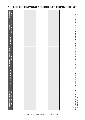| <b>Estimated</b><br>Cost                                         |  |  |       |
|------------------------------------------------------------------|--|--|-------|
| (Person In Charge)<br>Agencies                                   |  |  |       |
| Timeframe                                                        |  |  |       |
| Weaknesses & Enhancement<br>needed                               |  |  |       |
| Strengths & Advantages                                           |  |  |       |
| <b>Proposed Local Community</b><br><b>Flood Gathering Centre</b> |  |  | Note: |

## 1. LOCAL COMMUNITY FLOOD GATHERING CENTRE

to the evacuation centre.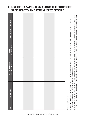### 2. LIST OF HAZARD / RISK ALONG THE PROPOSED SAFE ROUTES AND COMMUNITY PROFILE

| Detailed Description (notes)              |  |  |  |
|-------------------------------------------|--|--|--|
| Image<br>(no. of reference)               |  |  |  |
| Area / street / route /<br>GPS coordinate |  |  |  |
| Hazard / Risk                             |  |  |  |
| $\frac{1}{2}$                             |  |  |  |

Description includes: Description includes:

- a) Type of hazard: Erosion/landslide prone area high probability to collapse i.e. bridges, levees/dykes, roads, buildings, dangerous spots which Type of hazard: Erosion/landslide prone area - high probability to collapse i.e. bridges, levees/dykes, roads, buildings, dangerous spots which might submerged during the flooding, huge or dead tree trunks. might submerged during the flooding, huge or dead tree trunks.  $\widehat{\sigma}$
- b) Elements at Risk: Road barriers, electric poles, live power cables (construction work), wiring on the road, power circuit, water bodies (drain, lake, b) Elements at Risk: Road barriers, electric poles, live power cables (construction work), wiring on the road, power circuit, water bodies (drain, lake, pond or river), sharp and/or dangerous tools/items, uprooted trees or at risk of falling, houses at lowland or near riverbank, debris/dumping area. pond or river), sharp and/or dangerous tools/items, uprooted trees or at risk of falling, houses at lowland or near riverbank, debris/dumping area.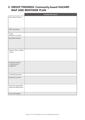## 3. GROUP FINDINGS: Community-based HAZARD MAP AND RESPONSE PLAN

|                                                    | <b>Detailed Description</b> |
|----------------------------------------------------|-----------------------------|
| Area /Street/ Route                                |                             |
|                                                    |                             |
|                                                    |                             |
|                                                    |                             |
| <b>GPS Coordinate</b>                              |                             |
| Image<br>(reference number)                        |                             |
| <b>Identified Problem</b>                          |                             |
| Hazard / Risk / Liability<br>/ Asset               |                             |
| Proposed solution<br>/ improvement /<br>Suggestion |                             |
| Timeline/framework                                 |                             |
| Expected outcome                                   |                             |
| Proposed responsible<br>agencies/stakeholders      |                             |
| <b>Estimated Budget</b>                            |                             |